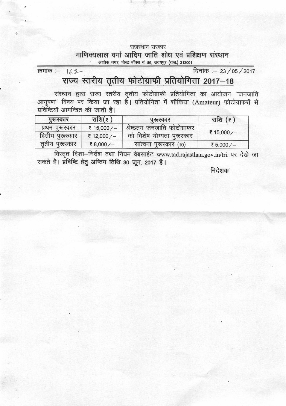## राजस्थान सरकार माणिक्यलाल वर्मा आदिम जाति शोध एवं प्रशिक्षण संस्थान अशोक नगर, पोस्ट बॉक्स नं. 86, उदयपुर (राज.) 313001

दिनांक :- 23 / 05 / 2017

## राज्य स्तरीय तृतीय फोटोग्राफी प्रतियोगिता 2017-18

क्रमांक :- 142

संस्थान द्वारा राज्य स्तरीय तृतीय फोटोग्राफी प्रतियोगिता का आयोजन "जनजाति आभूषण'' विषय पर किया जा रहा है। प्रतियोगिता में शौकिया (Amateur) फोटोग्राफरों से प्रविष्टियाँ आमन्त्रित की जाती हैं।

| पुरूस्कार         | राशि $($ ₹) | पुरुस्कार                   | राशि $(\epsilon)$ |
|-------------------|-------------|-----------------------------|-------------------|
| प्रथम पुरूस्कार   | ₹ 15,000/-  | श्रेष्ठतम जनजाति फोटोग्राफर |                   |
| द्वितीय पुरूस्कार | ₹ 12,000/-  | को विशेष योग्यता पुरूस्कार  | ₹ 15,000/-        |
| तृतीय पुरूस्कार   | ₹8,000/-    | सात्वना पुरूस्कार (10)      | ₹5,000/-          |

विस्तृत दिशा-निर्देश तथा नियम वेबसाईट www.tad.rajasthan.gov.in/tri. पर देखे जा सकते है। प्रविष्टि हेतु अन्तिम तिथि 30 जून, 2017 है।  $\overline{\mathcal{L}}$ 

निदेशक